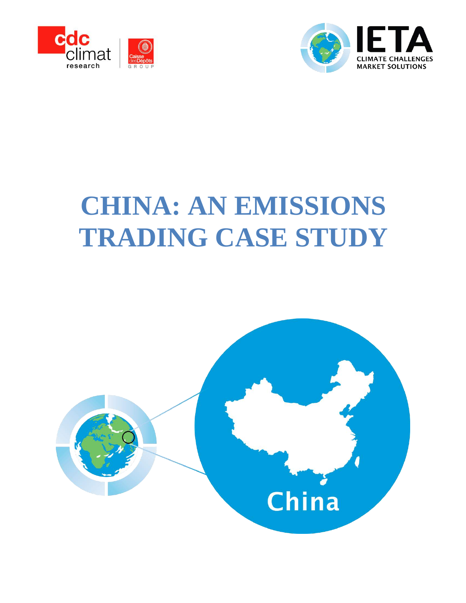



# **CHINA: AN EMISSIONS TRADING CASE STUDY**

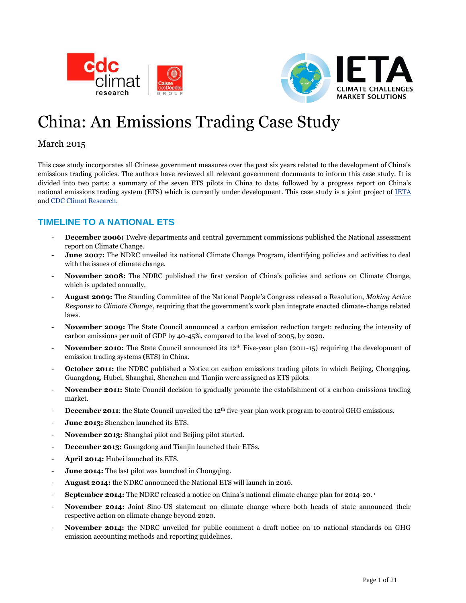



## China: An Emissions Trading Case Study

#### March 2015

This case study incorporates all Chinese government measures over the past six years related to the development of China's emissions trading policies. The authors have reviewed all relevant government documents to inform this case study. It is divided into two parts: a summary of the seven ETS pilots in China to date, followed by a progress report on China's national emissions trading system (ETS) which is currently under development. This case study is a joint project of [IETA](http://www.ieta.org/) and [CDC Climat](http://www.cdcclimat.com/) Research.

### **TIMELINE TO A NATIONAL ETS**

- **December 2006:** Twelve departments and central government commissions published the National assessment report on Climate Change.
- **June 2007:** The NDRC unveiled its national Climate Change Program, identifying policies and activities to deal with the issues of climate change.
- **November 2008:** The NDRC published the first version of China's policies and actions on Climate Change, which is updated annually.
- **August 2009:** The Standing Committee of the National People's Congress released a Resolution, *Making Active Response to Climate Change*, requiring that the government's work plan integrate enacted climate-change related laws.
- **November 2009:** The State Council announced a carbon emission reduction target: reducing the intensity of carbon emissions per unit of GDP by 40-45%, compared to the level of 2005, by 2020.
- **November 2010:** The State Council announced its 12<sup>th</sup> Five-year plan (2011-15) requiring the development of emission trading systems (ETS) in China.
- **October 2011:** the NDRC published a Notice on carbon emissions trading pilots in which Beijing, Chongqing, Guangdong, Hubei, Shanghai, Shenzhen and Tianjin were assigned as ETS pilots.
- **November 2011:** State Council decision to gradually promote the establishment of a carbon emissions trading market.
- **December 2011**: the State Council unveiled the 12<sup>th</sup> five-year plan work program to control GHG emissions.
- June 2013: Shenzhen launched its ETS.
- November 2013: Shanghai pilot and Beijing pilot started.
- **December 2013:** Guangdong and Tianjin launched their ETSs.
- April 2014: Hubei launched its ETS.
- **June 2014:** The last pilot was launched in Chongqing.
- **August 2014:** the NDRC announced the National ETS will launch in 2016.
- **September 2014:** The NDRC released a notice on China's national climate change plan for 2014-20.<sup>1</sup>
- November 2014: Joint Sino-US statement on climate change where both heads of state announced their respective action on climate change beyond 2020.
- **November 2014:** the NDRC unveiled for public comment a draft notice on 10 national standards on GHG emission accounting methods and reporting guidelines.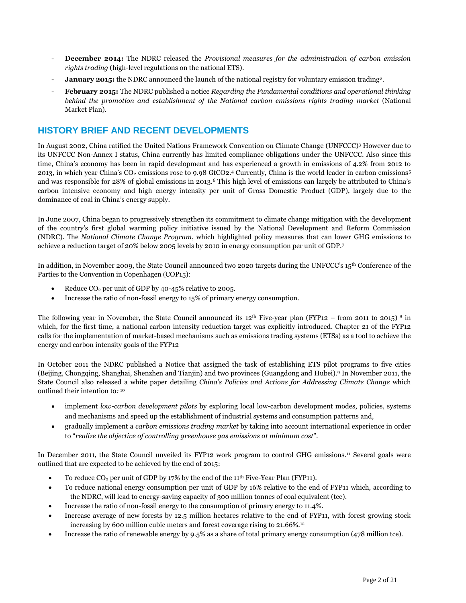- **December 2014:** The NDRC released the *Provisional measures for the administration of carbon emission rights trading* (high-level regulations on the national ETS).
- **January 2015:** the NDRC announced the launch of the national registry for voluntary emission trading<sup>2</sup>.
- **February 2015:** The NDRC published a notice *Regarding the Fundamental conditions and operational thinking behind the promotion and establishment of the National carbon emissions rights trading market* (National Market Plan).

#### **HISTORY BRIEF AND RECENT DEVELOPMENTS**

In August 2002, China ratified the United Nations Framework Convention on Climate Change (UNFCCC)<sup>3</sup> However due to its UNFCCC Non-Annex I status, China currently has limited compliance obligations under the UNFCCC. Also since this time, China's economy has been in rapid development and has experienced a growth in emissions of 4.2% from 2012 to 2013, in which year China's CO<sub>2</sub> emissions rose to 9.98 GtCO2.<sup>4</sup> Currently, China is the world leader in carbon emissions<sup>5</sup> and was responsible for 28% of global emissions in 2013.<sup>6</sup> This high level of emissions can largely be attributed to China's carbon intensive economy and high energy intensity per unit of Gross Domestic Product (GDP), largely due to the dominance of coal in China's energy supply.

In June 2007, China began to progressively strengthen its commitment to climate change mitigation with the development of the country's first global warming policy initiative issued by the National Development and Reform Commission (NDRC). The *National Climate Change Program*, which highlighted policy measures that can lower GHG emissions to achieve a reduction target of 20% below 2005 levels by 2010 in energy consumption per unit of GDP.<sup>7</sup>

In addition, in November 2009, the State Council announced two 2020 targets during the UNFCCC's 15th Conference of the Parties to the Convention in Copenhagen (COP15):

- Reduce  $CO<sub>2</sub>$  per unit of GDP by 40-45% relative to 2005.
- Increase the ratio of non-fossil energy to 15% of primary energy consumption.

The following year in November, the State Council announced its  $12<sup>th</sup>$  Five-year plan (FYP12 – from 2011 to 2015) <sup>8</sup> in which, for the first time, a national carbon intensity reduction target was explicitly introduced. Chapter 21 of the FYP12 calls for the implementation of market-based mechanisms such as emissions trading systems (ETSs) as a tool to achieve the energy and carbon intensity goals of the FYP12

In October 2011 the NDRC published a Notice that assigned the task of establishing ETS pilot programs to five cities (Beijing, Chongqing, Shanghai, Shenzhen and Tianjin) and two provinces (Guangdong and Hubei). <sup>9</sup> In November 2011, the State Council also released a white paper detailing *China's Policies and Actions for Addressing Climate Change* which outlined their intention to*:* 10

- implement *low-carbon development pilots* by exploring local low-carbon development modes, policies, systems and mechanisms and speed up the establishment of industrial systems and consumption patterns and,
- gradually implement a *carbon emissions trading market* by taking into account international experience in order to "*realize the objective of controlling greenhouse gas emissions at minimum cost*".

In December 2011, the State Council unveiled its FYP12 work program to control GHG emissions.<sup>11</sup> Several goals were outlined that are expected to be achieved by the end of 2015:

- To reduce  $CO_2$  per unit of GDP by 17% by the end of the 11<sup>th</sup> Five-Year Plan (FYP11).
- To reduce national energy consumption per unit of GDP by 16% relative to the end of FYP11 which, according to the NDRC, will lead to energy-saving capacity of 300 million tonnes of coal equivalent (tce).
- Increase the ratio of non-fossil energy to the consumption of primary energy to 11.4%.
- Increase average of new forests by 12.5 million hectares relative to the end of FYP11, with forest growing stock increasing by 600 million cubic meters and forest coverage rising to 21.66%. 12
- Increase the ratio of renewable energy by 9.5% as a share of total primary energy consumption (478 million tce).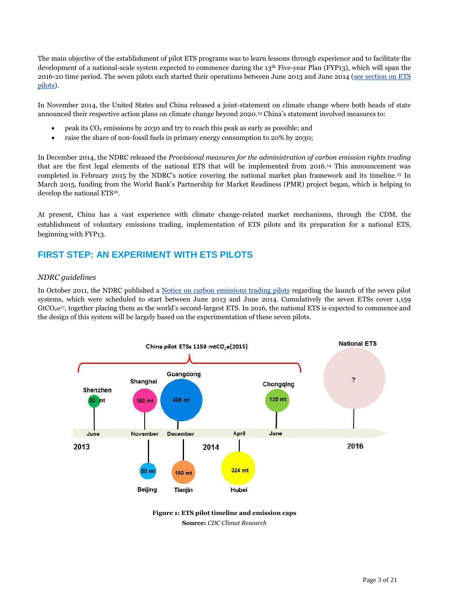The main objective of the establishment of pilot ETS programs was to learn lessons through experience and to facilitate the development of a national-scale system expected to commence during the 13<sup>th</sup> Five-year Plan (FYP13), which will span the 2016-20 time period. The seven pilots each started their operations between June 2013 and June 2014 [\(see section on ETS](#page-3-0)  [pilots\)](#page-3-0).

In November 2014, the United States and China released a joint-statement on climate change where both heads of state announced their respective action plans on climate change beyond 2020.<sup>13</sup> China's statement involved measures to:

- peak its  $CO<sub>2</sub>$  emissions by 2030 and try to reach this peak as early as possible; and
- raise the share of non-fossil fuels in primary energy consumption to 20% by 2030;

In December 2014, the NDRC released the *Provisional measures for the administration of carbon emission rights trading* that are the first legal elements of the national ETS that will be implemented from 2016. <sup>14</sup> This announcement was completed in February 2015 by the NDRC's notice covering the national market plan framework and its timeline.<sup>15</sup> In March 2015, funding from the World Bank's Partnership for Market Readiness (PMR) project began, which is helping to develop the national ETS<sup>16</sup>.

At present, China has a vast experience with climate change-related market mechanisms, through the CDM, the establishment of voluntary emissions trading, implementation of ETS pilots and its preparation for a national ETS, beginning with FYP13.

#### <span id="page-3-0"></span>**FIRST STEP: AN EXPERIMENT WITH ETS PILOTS**

#### *NDRC guidelines*

In October 2011, the NDRC published a [Notice on carbon emissions trading pilots](http://www.sdpc.gov.cn/zcfb/zcfbtz/201201/t20120113_456506.html) regarding the launch of the seven pilot systems, which were scheduled to start between June 2013 and June 2014. Cumulatively the seven ETSs cover 1,159 GtCO<sub>2</sub>e<sup>17</sup>, together placing them as the world's second-largest ETS. In 2016, the national ETS is expected to commence and the design of this system will be largely based on the experimentation of these seven pilots.



**Figure 1: ETS pilot timeline and emission caps Source:** *CDC Climat Research*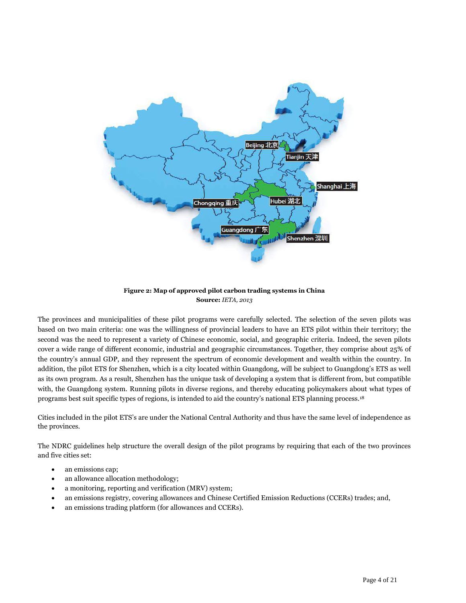

#### **Figure 2: Map of approved pilot carbon trading systems in China Source:** *IETA, 2013*

The provinces and municipalities of these pilot programs were carefully selected. The selection of the seven pilots was based on two main criteria: one was the willingness of provincial leaders to have an ETS pilot within their territory; the second was the need to represent a variety of Chinese economic, social, and geographic criteria. Indeed, the seven pilots cover a wide range of different economic, industrial and geographic circumstances. Together, they comprise about 25% of the country's annual GDP, and they represent the spectrum of economic development and wealth within the country. In addition, the pilot ETS for Shenzhen, which is a city located within Guangdong, will be subject to Guangdong's ETS as well as its own program. As a result, Shenzhen has the unique task of developing a system that is different from, but compatible with, the Guangdong system. Running pilots in diverse regions, and thereby educating policymakers about what types of programs best suit specific types of regions, is intended to aid the country's national ETS planning process.<sup>18</sup>

Cities included in the pilot ETS's are under the National Central Authority and thus have the same level of independence as the provinces.

The NDRC guidelines help structure the overall design of the pilot programs by requiring that each of the two provinces and five cities set:

- an emissions cap;
- an allowance allocation methodology;
- a monitoring, reporting and verification (MRV) system;
- an emissions registry, covering allowances and Chinese Certified Emission Reductions (CCERs) trades; and,
- an emissions trading platform (for allowances and CCERs).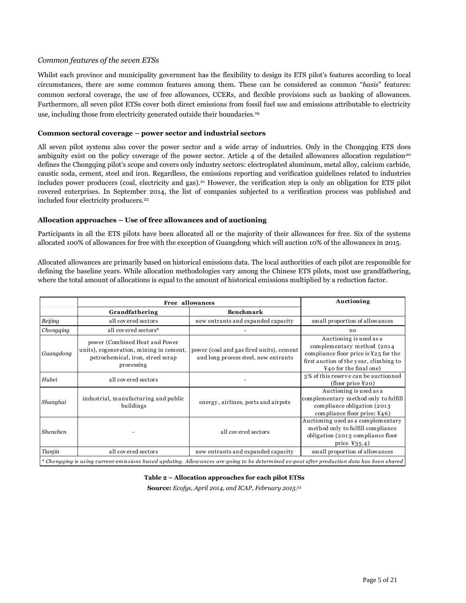#### *Common features of the seven ETSs*

Whilst each province and municipality government has the flexibility to design its ETS pilot's features according to local circumstances, there are some common features among them. These can be considered as common "*basis*" features: common sectoral coverage, the use of free allowances, CCERs, and flexible provisions such as banking of allowances. Furthermore, all seven pilot ETSs cover both direct emissions from fossil fuel use and emissions attributable to electricity use, including those from electricity generated outside their boundaries.<sup>19</sup>

#### **Common sectoral coverage – power sector and industrial sectors**

All seven pilot systems also cover the power sector and a wide array of industries. Only in the Chongqing ETS does ambiguity exist on the policy coverage of the power sector. Article 4 of the detailed allowances allocation regulation<sup>20</sup> defines the Chongqing pilot's scope and covers only industry sectors: electroplated aluminum, metal alloy, calcium carbide, caustic soda, cement, steel and iron. Regardless, the emissions reporting and verification guidelines related to industries includes power producers (coal, electricity and gas).<sup>21</sup> However, the verification step is only an obligation for ETS pilot covered enterprises. In September 2014, the list of companies subjected to a verification process was published and included four electricity producers.<sup>22</sup>

#### **Allocation approaches – Use of free allowances and of auctioning**

Participants in all the ETS pilots have been allocated all or the majority of their allowances for free. Six of the systems allocated 100% of allowances for free with the exception of Guangdong which will auction 10% of the allowances in 2015.

Allocated allowances are primarily based on historical emissions data. The local authorities of each pilot are responsible for defining the baseline years. While allocation methodologies vary among the Chinese ETS pilots, most use grandfathering, where the total amount of allocations is equal to the amount of historical emissions multiplied by a reduction factor.

|           |                                                                                                                              | Free allowances                                                                  | Auctioning                                                                                                                                                            |
|-----------|------------------------------------------------------------------------------------------------------------------------------|----------------------------------------------------------------------------------|-----------------------------------------------------------------------------------------------------------------------------------------------------------------------|
|           | Grandfathering                                                                                                               | <b>Benchmark</b>                                                                 |                                                                                                                                                                       |
| Beijing   | all covered sectors                                                                                                          | new entrants and expanded capacity                                               | small proportion of allowances                                                                                                                                        |
| Chongging | all covered sectors*                                                                                                         |                                                                                  | no                                                                                                                                                                    |
| Guangdong | power (Combined Heat and Power<br>units), cogeneration, mining in cement,<br>petrochemical, iron, streel scrap<br>processing | power (coal and gas fired units), cement<br>and long process steel, new entrants | Auctioning is used as a<br>complementary method (2014)<br>compliance floor price is $Y25$ for the<br>first auction of the year, climbing to<br>¥40 for the final one) |
| Hubei     | all covered sectors                                                                                                          |                                                                                  | 3% of this reserve can be auctionned<br>$(float)$ price $Y20)$                                                                                                        |
| Shanghai  | industrial, manufacturing and public<br>buildings                                                                            | energy, airlines, ports and airpots                                              | Auctioning is used as a<br>complementary method only to fulfill<br>compliance obligation (2013)<br>compliance floor price: ¥46)                                       |
| Shenzhen  |                                                                                                                              | all covered sectors                                                              | Auctioning used as a complementary<br>method only to fulfill compliance<br>obligation (2013 compliance floor<br>price $Y35.4$ )                                       |
| Tianjin   | all covered sectors                                                                                                          | new entrants and expanded capacity                                               | small proportion of allowances                                                                                                                                        |

#### **Table 2 – Allocation approaches for each pilot ETSs**

**Source:** *Ecofys, April 2014, and ICAP, February 2015.<sup>23</sup>*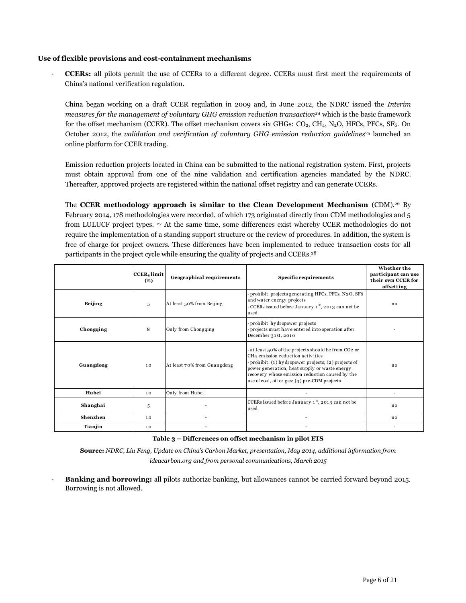#### **Use of flexible provisions and cost-containment mechanisms**

- **CCERs:** all pilots permit the use of CCERs to a different degree. CCERs must first meet the requirements of China's national verification regulation.

China began working on a draft CCER regulation in 2009 and, in June 2012, the NDRC issued the *Interim measures for the management of voluntary GHG emission reduction transaction<sup>24</sup>* which is the basic framework for the offset mechanism (CCER). The offset mechanism covers six GHGs:  $CO<sub>2</sub>$ ,  $CH<sub>4</sub>$ , N<sub>2</sub>O, HFCs, PFCs, SF<sub>6</sub>. On October 2012, the *validation and verification of voluntary GHG emission reduction guidelines<sup>25</sup> launched an* online platform for CCER trading.

Emission reduction projects located in China can be submitted to the national registration system. First, projects must obtain approval from one of the nine validation and certification agencies mandated by the NDRC. Thereafter, approved projects are registered within the national offset registry and can generate CCERs.

The **CCER methodology approach is similar to the Clean Development Mechanism** (CDM).<sup>26</sup> By February 2014, 178 methodologies were recorded, of which 173 originated directly from CDM methodologies and 5 from LULUCF project types. <sup>27</sup> At the same time, some differences exist whereby CCER methodologies do not require the implementation of a standing support structure or the review of procedures. In addition, the system is free of charge for project owners. These differences have been implemented to reduce transaction costs for all participants in the project cycle while ensuring the quality of projects and CCERs.<sup>28</sup>

| prohibit projects generating HFCs, PFCs, N2O, SF6<br>and water energy projects<br>Beijing<br>At least 50% from Beijing<br>5<br>no<br>- CCERs issued before January 1st, 2013 can not be<br>used<br>prohibit hydropower projects<br>Only from Chongqing<br>projects must have entered into operation after<br>Chongqing<br>8<br>December 31st, 2010<br>at least 50% of the projects should be from CO2 or<br>CH4 emission reduction activities<br>- prohibit: (1) hydropower projects; (2) projects of<br>Guangdong<br>At least 70% from Guangdong<br>10<br>no<br>power generation, heat supply or waste energy<br>recovery whose emission reduction caused by the<br>use of coal, oil or gas; (3) pre-CDM projects<br>Hubei<br>Only from Hubei<br>10<br>CCERs issued before January 1st, 2013 can not be<br>Shanghai<br>5<br>no<br>used |          | <b>CCER</b> <sub>s</sub> limit<br>(%) | Geographical requirements | Specific requirements | Whether the<br>participant can use<br>their own CCER for<br>offsetting |
|-----------------------------------------------------------------------------------------------------------------------------------------------------------------------------------------------------------------------------------------------------------------------------------------------------------------------------------------------------------------------------------------------------------------------------------------------------------------------------------------------------------------------------------------------------------------------------------------------------------------------------------------------------------------------------------------------------------------------------------------------------------------------------------------------------------------------------------------|----------|---------------------------------------|---------------------------|-----------------------|------------------------------------------------------------------------|
|                                                                                                                                                                                                                                                                                                                                                                                                                                                                                                                                                                                                                                                                                                                                                                                                                                         |          |                                       |                           |                       |                                                                        |
|                                                                                                                                                                                                                                                                                                                                                                                                                                                                                                                                                                                                                                                                                                                                                                                                                                         |          |                                       |                           |                       |                                                                        |
|                                                                                                                                                                                                                                                                                                                                                                                                                                                                                                                                                                                                                                                                                                                                                                                                                                         |          |                                       |                           |                       |                                                                        |
|                                                                                                                                                                                                                                                                                                                                                                                                                                                                                                                                                                                                                                                                                                                                                                                                                                         |          |                                       |                           |                       |                                                                        |
|                                                                                                                                                                                                                                                                                                                                                                                                                                                                                                                                                                                                                                                                                                                                                                                                                                         |          |                                       |                           |                       |                                                                        |
|                                                                                                                                                                                                                                                                                                                                                                                                                                                                                                                                                                                                                                                                                                                                                                                                                                         | Shenzhen | 10                                    |                           |                       | no                                                                     |
| Tianjin<br>10                                                                                                                                                                                                                                                                                                                                                                                                                                                                                                                                                                                                                                                                                                                                                                                                                           |          |                                       |                           |                       |                                                                        |

#### **Table 3 – Differences on offset mechanism in pilot ETS**

**Source:** *NDRC, Liu Feng, Update on China's Carbon Market, presentation, May 2014, additional information from ideacarbon.org and from personal communications, March 2015*

- **Banking and borrowing:** all pilots authorize banking, but allowances cannot be carried forward beyond 2015. Borrowing is not allowed.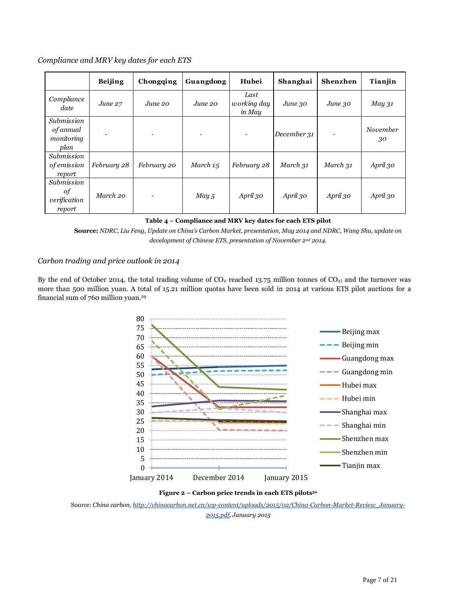*Compliance and MRV key dates for each ETS* 

|                                               | <b>Beijing</b> | Chongqing   | Guangdong | Hubei                         | Shanghai    | Shenzhen    | Tianjin        |
|-----------------------------------------------|----------------|-------------|-----------|-------------------------------|-------------|-------------|----------------|
| Compliance<br>date                            | June 27        | June 20     | June 20   | Last<br>working day<br>in May | June.30     | $June$ $30$ | $May\,31$      |
| Submission<br>of annual<br>monitoring<br>plan |                | ٠           | ٠         |                               | December 31 |             | November<br>30 |
| Submission<br><i>of emission</i><br>report    | February 28    | February 20 | March 15  | February 28                   | March 31    | March 31    | April 30       |
| Submission<br>οf<br>verification<br>report    | March 20       | ۰           | May, 5    | April 30                      | April 30    | April 30    | April 30       |

|  |  | Table 4 – Compliance and MRV key dates for each ETS pilot |
|--|--|-----------------------------------------------------------|
|  |  |                                                           |

**Source:** *NDRC, Liu Feng, Update on China's Carbon Market, presentation, May 2014 and NDRC, Wang Shu, update on development of Chinese ETS, presentation of November 2nd 2014.*

#### *Carbon trading and price outlook in 2014*

By the end of October 2014, the total trading volume of  $CO_2$  reached 13.75 million tonnes of  $CO_2$ ) and the turnover was more than 500 million yuan. A total of 15.21 million quotas have been sold in 2014 at various ETS pilot auctions for a financial sum of 760 million yuan.<sup>29</sup>



**Figure 2 – Carbon price trends in each ETS pilots<sup>30</sup>**

Source: *China carbon[, http://chinacarbon.net.cn/wp-content/uploads/2015/02/China-Carbon-Market-Review\\_January-](http://chinacarbon.net.cn/wp-content/uploads/2015/02/China-Carbon-Market-Review_January-2015.pdf)[2015.pdf,](http://chinacarbon.net.cn/wp-content/uploads/2015/02/China-Carbon-Market-Review_January-2015.pdf) January 2015*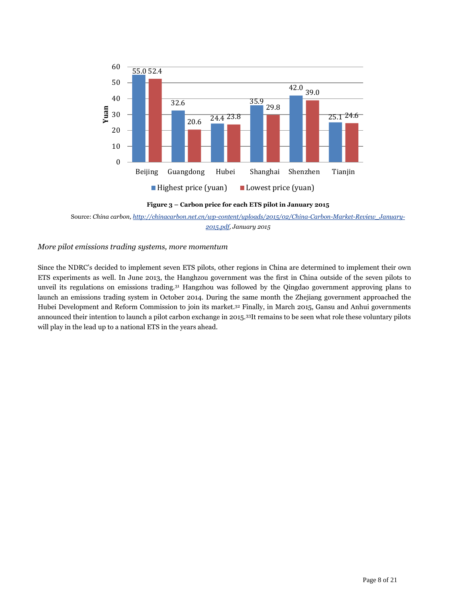

**Figure 3 – Carbon price for each ETS pilot in January 2015**

#### *More pilot emissions trading systems, more momentum*

Since the NDRC's decided to implement seven ETS pilots, other regions in China are determined to implement their own ETS experiments as well. In June 2013, the Hanghzou government was the first in China outside of the seven pilots to unveil its regulations on emissions trading.<sup>31</sup> Hangzhou was followed by the Qingdao government approving plans to launch an emissions trading system in October 2014. During the same month the Zhejiang government approached the Hubei Development and Reform Commission to join its market. <sup>32</sup> Finally, in March 2015, Gansu and Anhui governments announced their intention to launch a pilot carbon exchange in 2015.<sup>33</sup>It remains to be seen what role these voluntary pilots will play in the lead up to a national ETS in the years ahead.

Source: *China carbon[, http://chinacarbon.net.cn/wp-content/uploads/2015/02/China-Carbon-Market-Review\\_January-](http://chinacarbon.net.cn/wp-content/uploads/2015/02/China-Carbon-Market-Review_January-2015.pdf)[2015.pdf,](http://chinacarbon.net.cn/wp-content/uploads/2015/02/China-Carbon-Market-Review_January-2015.pdf) January 2015*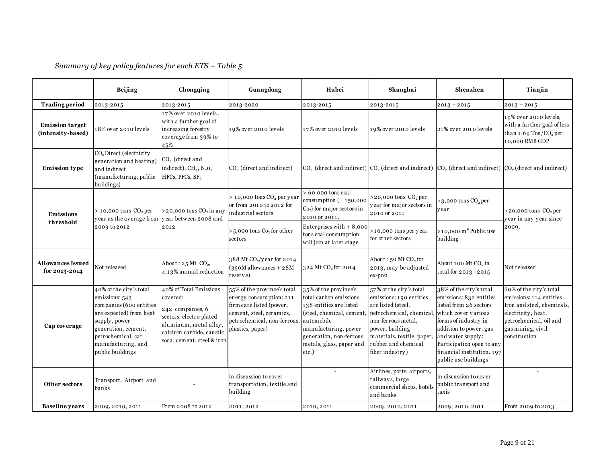|                                             | Beijing                                                                                                                                                                                                 | Chongqing                                                                                                                                                             | Guangdong                                                                                                                                                         | Hubei                                                                                                                                                                                                             | Shanghai                                                                                                                                                                                                              | Shenzhen                                                                                                                                                                                                                                                      | Tianjin                                                                                                                                                               |
|---------------------------------------------|---------------------------------------------------------------------------------------------------------------------------------------------------------------------------------------------------------|-----------------------------------------------------------------------------------------------------------------------------------------------------------------------|-------------------------------------------------------------------------------------------------------------------------------------------------------------------|-------------------------------------------------------------------------------------------------------------------------------------------------------------------------------------------------------------------|-----------------------------------------------------------------------------------------------------------------------------------------------------------------------------------------------------------------------|---------------------------------------------------------------------------------------------------------------------------------------------------------------------------------------------------------------------------------------------------------------|-----------------------------------------------------------------------------------------------------------------------------------------------------------------------|
| <b>Trading period</b>                       | 2013-2015                                                                                                                                                                                               | 2013-2015                                                                                                                                                             | 2013-2020                                                                                                                                                         | 2013-2015                                                                                                                                                                                                         | 2013-2015                                                                                                                                                                                                             | $2013 - 2015$                                                                                                                                                                                                                                                 | $2013 - 2015$                                                                                                                                                         |
| <b>Emission target</b><br>(intensity-based) | 18% over 2010 levels                                                                                                                                                                                    | 17% over 2010 levels,<br>with a further goal of<br>increasing forestry<br>coverage from 39% to<br>45%                                                                 | 19% over 2010 levels                                                                                                                                              | 17% over 2010 levels                                                                                                                                                                                              | 19% over 2010 levels                                                                                                                                                                                                  | 21% over 2010 levels                                                                                                                                                                                                                                          | 19% over 2010 levels,<br>with a further goal of less<br>than $1.69$ Ton/CO <sub>2</sub> per<br>10,000 RMB GDP                                                         |
| <b>Emission type</b>                        | CO <sub>2</sub> Direct (electricity<br>generation and heating)<br>and indirect<br>(manufacturing, public<br>buildings)                                                                                  | $CO2$ (direct and<br>indirect), CH <sub>4</sub> , N <sub>2</sub> 0,<br>HFCs, PFCs, SF <sub>6</sub>                                                                    | CO <sub>2</sub> (direct and indirect)                                                                                                                             | $CO2$ (direct and indirect) $CO2$ (direct and indirect) $CO2$ (direct and indirect) $CO2$ (direct and indirect)                                                                                                   |                                                                                                                                                                                                                       |                                                                                                                                                                                                                                                               |                                                                                                                                                                       |
| Emissions                                   | $> 10,000$ tons $CO2$ per<br>year as the average from year between 2008 and                                                                                                                             | $>$ 20,000 tons $CO2$ in any                                                                                                                                          | $> 10,000$ tons $CO2$ per year<br>or from 2010 to 2012 for<br>industrial sectors                                                                                  | $> 60,000$ tons coal<br>consumption $(= 150,000$<br>$Co2$ ) for major sectors in<br>2010 or 2011.                                                                                                                 | $>20,000$ tons $CO2$ per<br>year for major sectors in<br>2010 or 2011                                                                                                                                                 | $>3,000$ tons $CO2$ per<br>year                                                                                                                                                                                                                               | $>20,000$ tons $CO2$ per<br>year in any year since                                                                                                                    |
| threshold                                   | 2009 to 2012                                                                                                                                                                                            | 2012                                                                                                                                                                  | >5,000 tons Co, for other<br>sectors                                                                                                                              | Enterprises with $+8,000$<br>tons coal consumption<br>will join at later stage                                                                                                                                    | >10,000 tons per year<br>for other sectors                                                                                                                                                                            | $>10,000 \text{ m}^2$ Public use<br>building                                                                                                                                                                                                                  | 2009.                                                                                                                                                                 |
| <b>Allowances Issued</b><br>for 2013-2014   | Not released                                                                                                                                                                                            | About $125$ Mt $CO2$ ,<br>4.13% annual reduction                                                                                                                      | 388 Mt CO <sub>2</sub> /year for 2014<br>$(350M$ allowances + $28M$<br>reserve)                                                                                   | 324 Mt CO <sub>2</sub> for 2014                                                                                                                                                                                   | About 150 Mt CO <sub>2</sub> for<br>2013, may be adjusted<br>ex-post                                                                                                                                                  | About 100 Mt CO <sub>2</sub> in<br>total for 2013 - 2015                                                                                                                                                                                                      | Not released                                                                                                                                                          |
| Cap coverage                                | 40% of the city's total<br>emissions: 543<br>companies (600 entities<br>are expected) from heat<br>supply, power<br>generation, cement,<br>petrochemical, car<br>manufacturing, and<br>public buildings | 40% of Total Emissions<br>covered:<br>242 companies, 6<br>sectors: electro-plated<br>aluminum, metal alloy,<br>calcium carbide, caustic<br>soda, cement, steel & iron | 55% of the province's total<br>energy consumption: 211<br>firms are listed (power,<br>cement, steel, ceramics,<br>petrochemical, non-ferrous,<br>plastics, paper) | 35% of the province's<br>total carbon emissions.<br>138 entities are listed<br>(steel, chemical, cement,<br>automobile<br>manufacturing, power<br>generation, non-ferrous<br>metals, glass, paper and<br>$etc.$ ) | 57% of the city's total<br>emissions: 190 entities<br>are listed (steel,<br>petrochemical, chemical,<br>non-ferrous metal,<br>power, building<br>materials, textile, paper,<br>rubber and chemical<br>fiber industry) | 38% of the city's total<br>emissions: 832 entities<br>listed from 26 sectors<br>which cover various<br>forms of industry in<br>addition to power, gas<br>and water supply;<br>Participation open to any<br>financial institution. 197<br>public use buildings | 60% of the city's total<br>emissions: 114 entities<br>Iron and steel, chemicals,<br>electricity, heat,<br>petrochemical, oil and<br>gas mining, civil<br>construction |
| Other sectors                               | Transport, Airport and<br>banks                                                                                                                                                                         |                                                                                                                                                                       | in discussion to cover<br>transportation, textile and<br>building                                                                                                 |                                                                                                                                                                                                                   | Airlines, ports, airports,<br>railways, large<br>commercial shops, hotels<br>and banks                                                                                                                                | in discussion to cover<br>public transport and<br>taxis                                                                                                                                                                                                       |                                                                                                                                                                       |
| <b>Baseline</b> years                       | 2009, 2010, 2011                                                                                                                                                                                        | From 2008 to 2012                                                                                                                                                     | 2011, 2012                                                                                                                                                        | 2010, 2011                                                                                                                                                                                                        | 2009, 2010, 2011                                                                                                                                                                                                      | 2009, 2010, 2011                                                                                                                                                                                                                                              | From 2009 to 2013                                                                                                                                                     |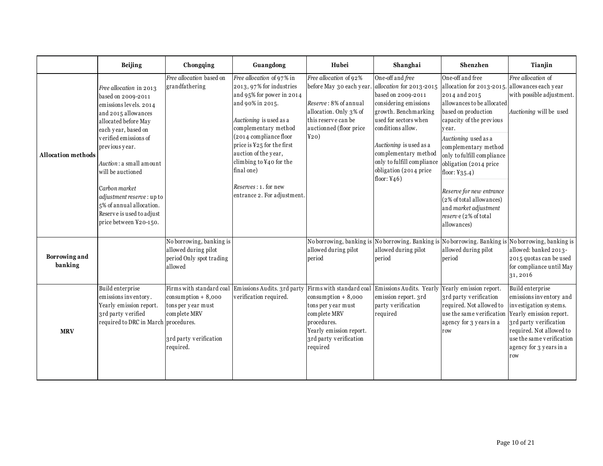|                           | Beijing                                                                                                                                                                                                                                                                                                                                                                    | Chongqing                                                                                                                      | Guangdong                                                                                                                                                                                                                                                                                                                                         | Hubei                                                                                                                                                                   | Shanghai                                                                                                                                                                                                                                                                                       | Shenzhen                                                                                                                                                                                                                                                                                                                                                                                                                          | Tianjin                                                                                                                                                                                                               |
|---------------------------|----------------------------------------------------------------------------------------------------------------------------------------------------------------------------------------------------------------------------------------------------------------------------------------------------------------------------------------------------------------------------|--------------------------------------------------------------------------------------------------------------------------------|---------------------------------------------------------------------------------------------------------------------------------------------------------------------------------------------------------------------------------------------------------------------------------------------------------------------------------------------------|-------------------------------------------------------------------------------------------------------------------------------------------------------------------------|------------------------------------------------------------------------------------------------------------------------------------------------------------------------------------------------------------------------------------------------------------------------------------------------|-----------------------------------------------------------------------------------------------------------------------------------------------------------------------------------------------------------------------------------------------------------------------------------------------------------------------------------------------------------------------------------------------------------------------------------|-----------------------------------------------------------------------------------------------------------------------------------------------------------------------------------------------------------------------|
| <b>Allocation methods</b> | Free allocation in 2013<br>based on 2009-2011<br>emissions levels. 2014<br>and 2015 allowances<br>allocated before May<br>each year, based on<br>verified emissions of<br>previous year.<br>Auction : a small amount<br>will be auctioned<br>Carbon market<br>adjustment reserve: up to<br>5% of annual allocation.<br>Reserve is used to adjust<br>price between ¥20-150. | Free allocation based on<br>grandfathering                                                                                     | Free allocation of 97% in<br>2013, 97% for industries<br>and 95% for power in 2014<br>and 90% in 2015.<br>Auctioning is used as a<br>complementary method<br>(2014 compliance floor<br>price is ¥25 for the first<br>auction of the year,<br>climbing to ¥40 for the<br>final one)<br><i>Reserves</i> : 1. for new<br>entrance 2. For adjustment. | Free allocation of 92%<br>before May 30 each year.<br>Reserve: 8% of annual<br>allocation. Only 3% of<br>this reserve can be<br>auctionned (floor price<br>Y20)         | One-off and free<br>allocation for 2013-2015<br>based on 2009-2011<br>considering emissions<br>growth. Benchmarking<br>used for sectors when<br>conditions allow.<br>Auctioning is used as a<br>complementary method<br>only to fulfill compliance<br>obligation (2014 price<br>floor: $Y46$ ) | One-off and free<br>allocation for 2013-2015. allowances each year<br>2014 and 2015<br>allowances to be allocated<br>based on production<br>capacity of the previous<br>vear.<br>Auctioning used as a<br>complementary method<br>only to fulfill compliance<br>obligation (2014 price<br>floor: $Y35.4$ )<br>Reserve for new entrance<br>(2% of total allowances)<br>and market adjustment<br>reserve (2% of total<br>allowances) | Free allocation of<br>with possible adjustment.<br>Auctioning will be used                                                                                                                                            |
| Borrowing and<br>banking  |                                                                                                                                                                                                                                                                                                                                                                            | No borrowing, banking is<br>allowed during pilot<br>period Only spot trading<br>allowed                                        |                                                                                                                                                                                                                                                                                                                                                   | No borrowing, banking is<br>allowed during pilot<br>period                                                                                                              | No borrowing. Banking is No borrowing. Banking is<br>allowed during pilot<br>period                                                                                                                                                                                                            | allowed during pilot<br>period                                                                                                                                                                                                                                                                                                                                                                                                    | No borrowing, banking is<br>allowed: banked 2013-<br>2015 quotas can be used<br>for compliance until May<br>31,2016                                                                                                   |
| <b>MRV</b>                | Build enterprise<br>emissions inventory.<br>Yearly emission report.<br>3rd party verified<br>required to DRC in March procedures.                                                                                                                                                                                                                                          | Firms with standard coal<br>$consumption + 8,000$<br>tons per year must<br>complete MRV<br>3rd party verification<br>required. | Emissions Audits. 3rd party<br>verification required.                                                                                                                                                                                                                                                                                             | Firms with standard coal<br>$\cos \theta$ + 8,000<br>tons per year must<br>complete MRV<br>procedures.<br>Yearly emission report.<br>3rd party verification<br>required | Emissions Audits. Yearly Yearly emission report.<br>emission report. 3rd<br>party verification<br>required                                                                                                                                                                                     | 3rd party verification<br>required. Not allowed to<br>use the same verification<br>agency for 3 years in a<br>row                                                                                                                                                                                                                                                                                                                 | Build enterprise<br>emissions inventory and<br>investigation systems.<br>Yearly emission report.<br>3rd party verification<br>required. Not allowed to<br>use the same verification<br>agency for 3 years in a<br>row |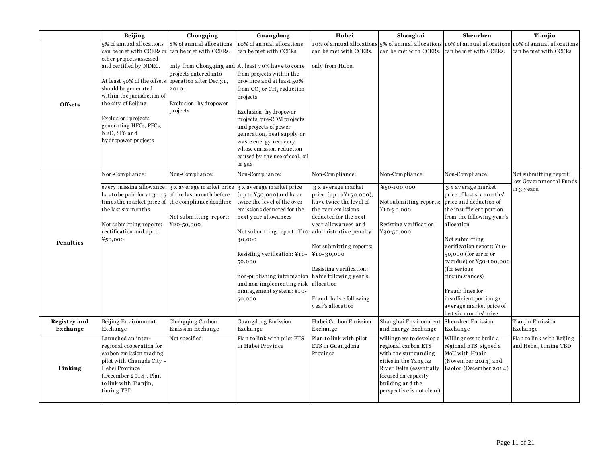|                                 | Beijing                                                                                                                                                                                                                                                                                                                                |                                                                                                                                                                   |                                                                                                                                                                                                                                                                                                                                                                                                | Hubei                                                                                                                                                                                                                                                                                                            |                                                                                                                                                                                                       | Shenzhen                                                                                                                                                                                                                                                                                                                                                                                 | Tianjin                                            |
|---------------------------------|----------------------------------------------------------------------------------------------------------------------------------------------------------------------------------------------------------------------------------------------------------------------------------------------------------------------------------------|-------------------------------------------------------------------------------------------------------------------------------------------------------------------|------------------------------------------------------------------------------------------------------------------------------------------------------------------------------------------------------------------------------------------------------------------------------------------------------------------------------------------------------------------------------------------------|------------------------------------------------------------------------------------------------------------------------------------------------------------------------------------------------------------------------------------------------------------------------------------------------------------------|-------------------------------------------------------------------------------------------------------------------------------------------------------------------------------------------------------|------------------------------------------------------------------------------------------------------------------------------------------------------------------------------------------------------------------------------------------------------------------------------------------------------------------------------------------------------------------------------------------|----------------------------------------------------|
| <b>Offsets</b>                  | 5% of annual allocations<br>can be met with CCERs or<br>other projects assessed<br>and certified by NDRC.<br>At least 50% of the offsets<br>should be generated<br>within the jurisdiction of<br>the city of Beijing<br>Exclusion: projects<br>generating HFCs, PFCs,<br>N <sub>2</sub> O, SF <sub>6</sub> and<br>hy dropower projects | Chongqing<br>8% of annual allocations<br>can be met with CCERs.<br>projects entered into<br>operation after Dec.31,<br>2010.<br>Exclusion: hydropower<br>projects | Guangdong<br>10% of annual allocations<br>can be met with CCERs.<br>only from Chongqing and At least 70% have to come<br>from projects within the<br>province and at least 50%<br>from $CO2$ or $CH4$ reduction<br>projects<br>Exclusion: hydropower<br>projects, pre-CDM projects<br>and projects of power<br>generation, heat supply or<br>waste energy recovery<br>whose emission reduction | 10% of annual allocations 5% of annual allocations<br>can be met with CCERs.<br>only from Hubei                                                                                                                                                                                                                  | Shanghai<br>can be met with CCERs.                                                                                                                                                                    | 10% of annual allocations<br>can be met with CCERs.                                                                                                                                                                                                                                                                                                                                      | 0% of annual allocations<br>can be met with CCERs. |
|                                 | Non-Compliance:                                                                                                                                                                                                                                                                                                                        | Non-Compliance:                                                                                                                                                   | caused by the use of coal, oil<br>or gas<br>Non-Compliance:                                                                                                                                                                                                                                                                                                                                    | Non-Compliance:                                                                                                                                                                                                                                                                                                  | Non-Compliance:                                                                                                                                                                                       | Non-Compliance:                                                                                                                                                                                                                                                                                                                                                                          | Not submitting report:                             |
| Penalties                       | has to be paid for at 3 to 5 of the last month before<br>times the market price of the compliance deadline<br>the last six months<br>Not submitting reports:<br>rectification and up to<br>¥50,000                                                                                                                                     | every missing allowance 3 x average market price 3 x average market price<br>Not submitting report:<br>¥20-50,000                                                 | $(up to Y50,000)$ and have<br>twice the level of the over<br>emissions deducted for the<br>next year allowances<br>Not submitting report : ¥10-administrative penalty<br>30,000<br>Resisting verification: ¥10-<br>50,000<br>non-publishing information<br>and non-implementing risk<br>management system: ¥10-<br>50,000                                                                      | 3 x average market<br>price $(up to Y150,000),$<br>have twice the level of<br>the over emissions<br>deducted for the next<br>year allowances and<br>Not submitting reports:<br>$Y_10 - 30,000$<br>Resisting verification:<br>halve following year's<br>allocation<br>Fraud: halve following<br>year's allocation | ¥50-100,000<br>Not submitting reports:<br>¥10-30,000<br>Resisting verification:<br>¥30-50,000                                                                                                         | 3 x average market<br>price of last six months'<br>price and deduction of<br>the insufficient portion<br>from the following year's<br>allocation<br>Not submitting<br>verification report: ¥10-<br>50,000 (for error or<br>overdue) or ¥50-100,000<br>(for serious<br>circumstances)<br>Fraud: fines for<br>insufficient portion 3x<br>average market price of<br>last six months' price | loss Governmental Funds<br>in 3 years.             |
| <b>Registry</b> and<br>Exchange | Beijing Environment<br>Exchange                                                                                                                                                                                                                                                                                                        | Chongqing Carbon<br>Emission Exchange                                                                                                                             | Guangdong Emission<br>Exchange                                                                                                                                                                                                                                                                                                                                                                 | Hubei Carbon Emission<br>Exchange                                                                                                                                                                                                                                                                                | Shanghai Environment<br>and Energy Exchange                                                                                                                                                           | Shenzhen Emission<br>Exchange                                                                                                                                                                                                                                                                                                                                                            | Tianjin Emission<br>Exchange                       |
| Linking                         | Launched an inter-<br>regional cooperation for<br>carbon emission trading<br>pilot with Changde City -<br>Hebei Province<br>(December 2014). Plan<br>to link with Tianjin,<br>timing TBD                                                                                                                                               | Not specified                                                                                                                                                     | Plan to link with pilot ETS<br>in Hubei Province                                                                                                                                                                                                                                                                                                                                               | Plan to link with pilot<br>ETS in Guangdong<br>Province                                                                                                                                                                                                                                                          | willingness to develop a<br>régional carbon ETS<br>with the surrounding<br>cities in the Yangtze<br>River Delta (essentially<br>focused on capacity<br>building and the<br>perspective is not clear). | Willingness to build a<br>régional ETS, signed a<br>MoU with Huain<br>(November 2014) and<br>Baotou (December 2014)                                                                                                                                                                                                                                                                      | Plan to link with Beijing<br>and Hebei, timing TBD |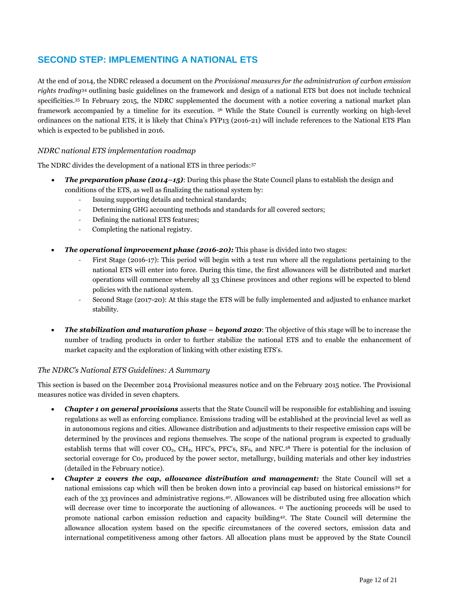### **SECOND STEP: IMPLEMENTING A NATIONAL ETS**

At the end of 2014, the NDRC released a document on the *Provisional measures for the administration of carbon emission rights trading*<sup>34</sup> outlining basic guidelines on the framework and design of a national ETS but does not include technical specificities.<sup>35</sup> In February 2015, the NDRC supplemented the document with a notice covering a national market plan framework accompanied by a timeline for its execution. <sup>36</sup> While the State Council is currently working on high-level ordinances on the national ETS, it is likely that China's FYP13 (2016-21) will include references to the National ETS Plan which is expected to be published in 2016.

#### *NDRC national ETS implementation roadmap*

The NDRC divides the development of a national ETS in three periods:<sup>37</sup>

- *The preparation phase (2014–15)*: During this phase the State Council plans to establish the design and conditions of the ETS, as well as finalizing the national system by:
	- Issuing supporting details and technical standards;
	- Determining GHG accounting methods and standards for all covered sectors;
	- Defining the national ETS features;
	- Completing the national registry.
- *The operational improvement phase (2016-20):* This phase is divided into two stages:
	- First Stage (2016-17): This period will begin with a test run where all the regulations pertaining to the national ETS will enter into force. During this time, the first allowances will be distributed and market operations will commence whereby all 33 Chinese provinces and other regions will be expected to blend policies with the national system.
	- Second Stage (2017-20): At this stage the ETS will be fully implemented and adjusted to enhance market stability.
- *The stabilization and maturation phase – beyond 2020*: The objective of this stage will be to increase the number of trading products in order to further stabilize the national ETS and to enable the enhancement of market capacity and the exploration of linking with other existing ETS's.

#### *The NDRC's National ETS Guidelines: A Summary*

This section is based on the December 2014 Provisional measures notice and on the February 2015 notice. The Provisional measures notice was divided in seven chapters.

- *Chapter 1 on general provisions* asserts that the State Council will be responsible for establishing and issuing regulations as well as enforcing compliance. Emissions trading will be established at the provincial level as well as in autonomous regions and cities. Allowance distribution and adjustments to their respective emission caps will be determined by the provinces and regions themselves. The scope of the national program is expected to gradually establish terms that will cover  $CO<sub>2</sub>$ ,  $CH<sub>4</sub>$ , HFC's, PFC's, SF<sub>6</sub>, and NFC.<sup>38</sup> There is potential for the inclusion of sectorial coverage for  $Co<sub>2</sub>$  produced by the power sector, metallurgy, building materials and other key industries (detailed in the February notice).
- *Chapter 2 covers the cap, allowance distribution and management:* the State Council will set a national emissions cap which will then be broken down into a provincial cap based on historical emissions<sup>39</sup> for each of the 33 provinces and administrative regions.<sup>40</sup>. Allowances will be distributed using free allocation which will decrease over time to incorporate the auctioning of allowances. <sup>41</sup> The auctioning proceeds will be used to promote national carbon emission reduction and capacity building<sup>42</sup>. The State Council will determine the allowance allocation system based on the specific circumstances of the covered sectors, emission data and international competitiveness among other factors. All allocation plans must be approved by the State Council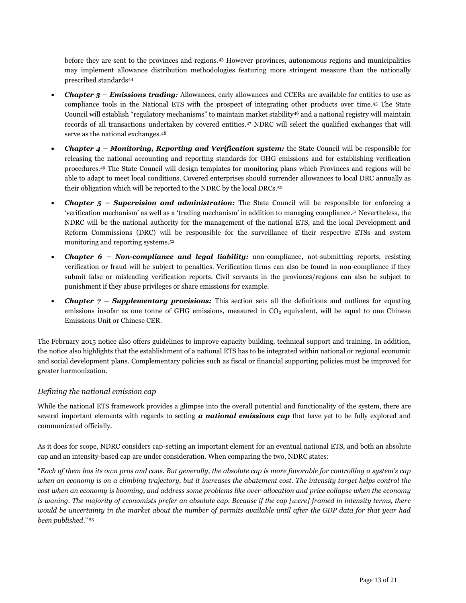before they are sent to the provinces and regions. <sup>43</sup> However provinces, autonomous regions and municipalities may implement allowance distribution methodologies featuring more stringent measure than the nationally prescribed standards<sup>44</sup>

- *Chapter 3 – Emissions trading:* Allowances, early allowances and CCERs are available for entities to use as compliance tools in the National ETS with the prospect of integrating other products over time.<sup>45</sup> The State Council will establish "regulatory mechanisms" to maintain market stability<sup>46</sup> and a national registry will maintain records of all transactions undertaken by covered entities. <sup>47</sup> NDRC will select the qualified exchanges that will serve as the national exchanges.<sup>48</sup>
- *Chapter 4 – Monitoring, Reporting and Verification system:* the State Council will be responsible for releasing the national accounting and reporting standards for GHG emissions and for establishing verification procedures.<sup>49</sup> The State Council will design templates for monitoring plans which Provinces and regions will be able to adapt to meet local conditions. Covered enterprises should surrender allowances to local DRC annually as their obligation which will be reported to the NDRC by the local DRCs.<sup>50</sup>
- *Chapter 5 – Supervision and administration:* The State Council will be responsible for enforcing a 'verification mechanism' as well as a 'trading mechanism' in addition to managing compliance.<sup>51</sup> Nevertheless, the NDRC will be the national authority for the management of the national ETS, and the local Development and Reform Commissions (DRC) will be responsible for the surveillance of their respective ETSs and system monitoring and reporting systems.<sup>52</sup>
- *Chapter 6 – Non-compliance and legal liability:* non-compliance, not-submitting reports, resisting verification or fraud will be subject to penalties. Verification firms can also be found in non-compliance if they submit false or misleading verification reports. Civil servants in the provinces/regions can also be subject to punishment if they abuse privileges or share emissions for example.
- **Chapter 7 Supplementary provisions:** This section sets all the definitions and outlines for equating emissions insofar as one tonne of GHG emissions, measured in  $CO<sub>2</sub>$  equivalent, will be equal to one Chinese Emissions Unit or Chinese CER.

The February 2015 notice also offers guidelines to improve capacity building, technical support and training. In addition, the notice also highlights that the establishment of a national ETS has to be integrated within national or regional economic and social development plans. Complementary policies such as fiscal or financial supporting policies must be improved for greater harmonization.

#### *Defining the national emission cap*

While the national ETS framework provides a glimpse into the overall potential and functionality of the system, there are several important elements with regards to setting *a national emissions cap* that have yet to be fully explored and communicated officially.

As it does for scope, NDRC considers cap-setting an important element for an eventual national ETS, and both an absolute cap and an intensity-based cap are under consideration. When comparing the two, NDRC states:

"*Each of them has its own pros and cons. But generally, the absolute cap is more favorable for controlling a system's cap when an economy is on a climbing trajectory, but it increases the abatement cost. The intensity target helps control the cost when an economy is booming, and address some problems like over-allocation and price collapse when the economy is waning. The majority of economists prefer an absolute cap. Because if the cap [were] framed in intensity terms, there*  would be uncertainty in the market about the number of permits available until after the GDP data for that year had *been published*." <sup>53</sup>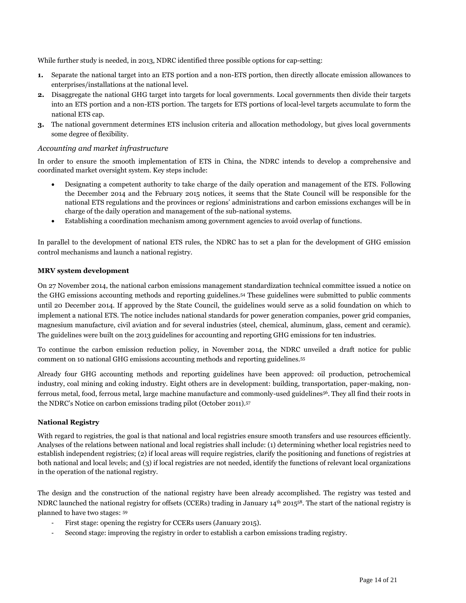While further study is needed, in 2013, NDRC identified three possible options for cap-setting:

- **1.** Separate the national target into an ETS portion and a non-ETS portion, then directly allocate emission allowances to enterprises/installations at the national level.
- **2.** Disaggregate the national GHG target into targets for local governments. Local governments then divide their targets into an ETS portion and a non-ETS portion. The targets for ETS portions of local-level targets accumulate to form the national ETS cap.
- **3.** The national government determines ETS inclusion criteria and allocation methodology, but gives local governments some degree of flexibility.

#### *Accounting and market infrastructure*

In order to ensure the smooth implementation of ETS in China, the NDRC intends to develop a comprehensive and coordinated market oversight system. Key steps include:

- Designating a competent authority to take charge of the daily operation and management of the ETS. Following the December 2014 and the February 2015 notices, it seems that the State Council will be responsible for the national ETS regulations and the provinces or regions' administrations and carbon emissions exchanges will be in charge of the daily operation and management of the sub-national systems.
- Establishing a coordination mechanism among government agencies to avoid overlap of functions.

In parallel to the development of national ETS rules, the NDRC has to set a plan for the development of GHG emission control mechanisms and launch a national registry.

#### **MRV system development**

On 27 November 2014, the national carbon emissions management standardization technical committee issued a notice on the GHG emissions accounting methods and reporting guidelines.<sup>54</sup> These guidelines were submitted to public comments until 20 December 2014. If approved by the State Council, the guidelines would serve as a solid foundation on which to implement a national ETS. The notice includes national standards for power generation companies, power grid companies, magnesium manufacture, civil aviation and for several industries (steel, chemical, aluminum, glass, cement and ceramic). The guidelines were built on the 2013 guidelines for accounting and reporting GHG emissions for ten industries.

To continue the carbon emission reduction policy, in November 2014, the NDRC unveiled a draft notice for public comment on 10 national GHG emissions accounting methods and reporting guidelines.<sup>55</sup>

Already four GHG accounting methods and reporting guidelines have been approved: oil production, petrochemical industry, coal mining and coking industry. Eight others are in development: building, transportation, paper-making, nonferrous metal, food, ferrous metal, large machine manufacture and commonly-used guidelines<sup>56</sup>. They all find their roots in the NDRC's Notice on carbon emissions trading pilot (October 2011).<sup>57</sup>

#### **National Registry**

With regard to registries, the goal is that national and local registries ensure smooth transfers and use resources efficiently. Analyses of the relations between national and local registries shall include: (1) determining whether local registries need to establish independent registries; (2) if local areas will require registries, clarify the positioning and functions of registries at both national and local levels; and (3) if local registries are not needed, identify the functions of relevant local organizations in the operation of the national registry.

The design and the construction of the national registry have been already accomplished. The registry was tested and NDRC launched the national registry for offsets (CCERs) trading in January 14th 2015<sup>58</sup>. The start of the national registry is planned to have two stages: <sup>59</sup>

- First stage: opening the registry for CCERs users (January 2015).
- Second stage: improving the registry in order to establish a carbon emissions trading registry.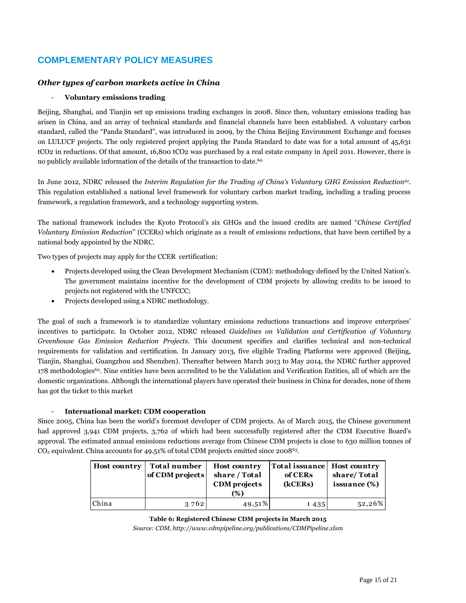#### **COMPLEMENTARY POLICY MEASURES**

#### *Other types of carbon markets active in China*

#### - **Voluntary emissions trading**

Beijing, Shanghai, and Tianjin set up emissions trading exchanges in 2008. Since then, voluntary emissions trading has arisen in China, and an array of technical standards and financial channels have been established. A voluntary carbon standard, called the "Panda Standard", was introduced in 2009, by the China Beijing Environment Exchange and focuses on LULUCF projects. The only registered project applying the Panda Standard to date was for a total amount of 45,631 tCO2 in reductions. Of that amount, 16,800 tCO2 was purchased by a real estate company in April 2011. However, there is no publicly available information of the details of the transaction to date. 60

In June 2012, NDRC released the *Interim Regulation for the Trading of China's Voluntary GHG Emission Reduction<sup>61</sup>* . This regulation established a national level framework for voluntary carbon market trading, including a trading process framework, a regulation framework, and a technology supporting system.

The national framework includes the Kyoto Protocol's six GHGs and the issued credits are named "*Chinese Certified Voluntary Emission Reduction*" (CCERs) which originate as a result of emissions reductions, that have been certified by a national body appointed by the NDRC.

Two types of projects may apply for the CCER certification:

- Projects developed using the Clean Development Mechanism (CDM): methodology defined by the United Nation's. The government maintains incentive for the development of CDM projects by allowing credits to be issued to projects not registered with the UNFCCC;
- Projects developed using a NDRC methodology.

The goal of such a framework is to standardize voluntary emissions reductions transactions and improve enterprises' incentives to participate. In October 2012, NDRC released *Guidelines on Validation and Certification of Voluntary Greenhouse Gas Emission Reduction Projects*. This document specifies and clarifies technical and non-technical requirements for validation and certification. In January 2013, five eligible Trading Platforms were approved (Beijing, Tianjin, Shanghai, Guangzhou and Shenzhen). Thereafter between March 2013 to May 2014, the NDRC further approved 178 methodologies<sup>62</sup>. Nine entities have been accredited to be the Validation and Verification Entities, all of which are the domestic organizations. Although the international players have operated their business in China for decades, none of them has got the ticket to this market

#### - **International market: CDM cooperation**

Since 2005, China has been the world's foremost developer of CDM projects. As of March 2015, the Chinese government had approved 3,941 CDM projects, 3,762 of which had been successfully registered after the CDM Executive Board's approval. The estimated annual emissions reductions average from Chinese CDM projects is close to 630 million tonnes of  $CO<sub>2</sub>$  equivalent. China accounts for 49.51% of total CDM projects emitted since 2008<sup>63</sup>.

| <b>Host country</b> | Total number<br>of CDM projects | <b>Host country</b><br>share / Total<br>CDM projects<br>(%) | Total issuance Host country<br>of CERs<br>(kCERs) | share/Total<br>issuance (%) |
|---------------------|---------------------------------|-------------------------------------------------------------|---------------------------------------------------|-----------------------------|
| China               | 3762                            | 49,51%                                                      | 1435                                              | $52,26\%$                   |

**Table 6: Registered Chinese CDM projects in March 2015** *Source: CDM, http://www.cdmpipeline.org/publications/CDMPipeline.xlsm*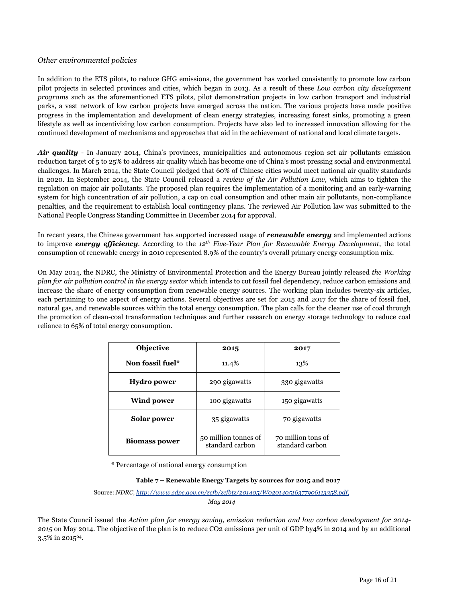#### *Other environmental policies*

In addition to the ETS pilots, to reduce GHG emissions, the government has worked consistently to promote low carbon pilot projects in selected provinces and cities, which began in 2013. As a result of these *Low carbon city development programs* such as the aforementioned ETS pilots, pilot demonstration projects in low carbon transport and industrial parks, a vast network of low carbon projects have emerged across the nation. The various projects have made positive progress in the implementation and development of clean energy strategies, increasing forest sinks, promoting a green lifestyle as well as incentivizing low carbon consumption. Projects have also led to increased innovation allowing for the continued development of mechanisms and approaches that aid in the achievement of national and local climate targets.

*Air quality* - In January 2014, China's provinces, municipalities and autonomous region set air pollutants emission reduction target of 5 to 25% to address air quality which has become one of China's most pressing social and environmental challenges. In March 2014, the State Council pledged that 60% of Chinese cities would meet national air quality standards in 2020. In September 2014, the State Council released a *review of the Air Pollution Law,* which aims to tighten the regulation on major air pollutants. The proposed plan requires the implementation of a monitoring and an early-warning system for high concentration of air pollution, a cap on coal consumption and other main air pollutants, non-compliance penalties, and the requirement to establish local contingency plans. The reviewed Air Pollution law was submitted to the National People Congress Standing Committee in December 2014 for approval.

In recent years, the Chinese government has supported increased usage of *renewable energy* and implemented actions to improve *energy efficiency*. According to the *12th Five-Year Plan for Renewable Energy Development*, the total consumption of renewable energy in 2010 represented 8.9% of the country's overall primary energy consumption mix.

On May 2014, the NDRC, the Ministry of Environmental Protection and the Energy Bureau jointly released *the Working plan for air pollution control in the energy sector* which intends to cut fossil fuel dependency, reduce carbon emissions and increase the share of energy consumption from renewable energy sources. The working plan includes twenty-six articles, each pertaining to one aspect of energy actions. Several objectives are set for 2015 and 2017 for the share of fossil fuel, natural gas, and renewable sources within the total energy consumption. The plan calls for the cleaner use of coal through the promotion of clean-coal transformation techniques and further research on energy storage technology to reduce coal reliance to 65% of total energy consumption.

| <b>Objective</b>     | 2015                                    | 2017                                  |
|----------------------|-----------------------------------------|---------------------------------------|
| Non fossil fuel*     | 11.4%                                   | 13%                                   |
| Hydro power          | 290 gigawatts                           | 330 gigawatts                         |
| Wind power           | 100 gigawatts                           | 150 gigawatts                         |
| Solar power          | 35 gigawatts                            | 70 gigawatts                          |
| <b>Biomass power</b> | 50 million tonnes of<br>standard carbon | 70 million tons of<br>standard carbon |

\* Percentage of national energy consumption

#### **Table 7 – Renewable Energy Targets by sources for 2015 and 2017**

Source: *NDRC[, http://www.sdpc.gov.cn/zcfb/zcfbtz/201405/W020140516377906113358.pdf,](http://www.sdpc.gov.cn/zcfb/zcfbtz/201405/W020140516377906113358.pdf) May 2014*

The State Council issued the *Action plan for energy saving, emission reduction and low carbon development for 2014- 2015* on May 2014. The objective of the plan is to reduce CO2 emissions per unit of GDP by4% in 2014 and by an additional 3.5% in 201564.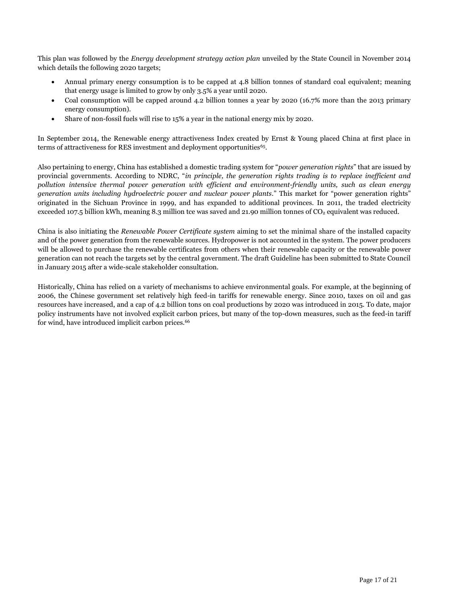This plan was followed by the *Energy development strategy action plan* unveiled by the State Council in November 2014 which details the following 2020 targets;

- Annual primary energy consumption is to be capped at 4.8 billion tonnes of standard coal equivalent; meaning that energy usage is limited to grow by only 3.5% a year until 2020.
- Coal consumption will be capped around 4.2 billion tonnes a year by 2020 (16.7% more than the 2013 primary energy consumption).
- Share of non-fossil fuels will rise to 15% a year in the national energy mix by 2020.

In September 2014, the Renewable energy attractiveness Index created by Ernst & Young placed China at first place in terms of attractiveness for RES investment and deployment opportunities<sup>65</sup>.

Also pertaining to energy, China has established a domestic trading system for "*power generation rights*" that are issued by provincial governments. According to NDRC, "*in principle, the generation rights trading is to replace inefficient and pollution intensive thermal power generation with efficient and environment-friendly units, such as clean energy generation units including hydroelectric power and nuclear power plants*." This market for "power generation rights" originated in the Sichuan Province in 1999, and has expanded to additional provinces. In 2011, the traded electricity exceeded 107.5 billion kWh, meaning 8.3 million tce was saved and 21.90 million tonnes of CO2 equivalent was reduced.

China is also initiating the *Renewable Power Certificate system* aiming to set the minimal share of the installed capacity and of the power generation from the renewable sources. Hydropower is not accounted in the system. The power producers will be allowed to purchase the renewable certificates from others when their renewable capacity or the renewable power generation can not reach the targets set by the central government. The draft Guideline has been submitted to State Council in January 2015 after a wide-scale stakeholder consultation.

Historically, China has relied on a variety of mechanisms to achieve environmental goals. For example, at the beginning of 2006, the Chinese government set relatively high feed-in tariffs for renewable energy. Since 2010, taxes on oil and gas resources have increased, and a cap of 4.2 billion tons on coal productions by 2020 was introduced in 2015. To date, major policy instruments have not involved explicit carbon prices, but many of the top-down measures, such as the feed-in tariff for wind, have introduced implicit carbon prices.<sup>66</sup>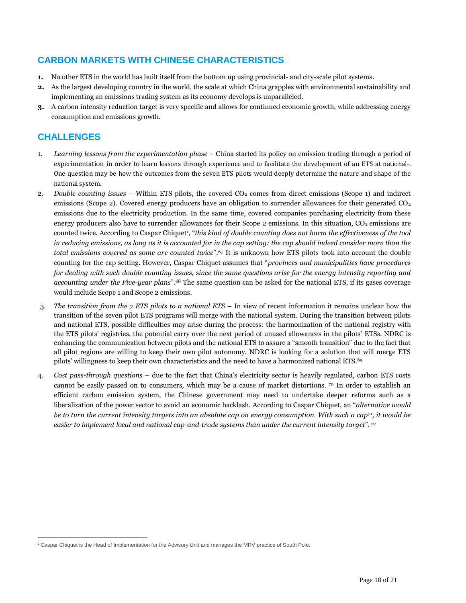#### **CARBON MARKETS WITH CHINESE CHARACTERISTICS**

- **1.** No other ETS in the world has built itself from the bottom up using provincial- and city-scale pilot systems.
- **2.** As the largest developing country in the world, the scale at which China grapples with environmental sustainability and implementing an emissions trading system as its economy develops is unparalleled.
- **3.** A carbon intensity reduction target is very specific and allows for continued economic growth, while addressing energy consumption and emissions growth.

#### **CHALLENGES**

 $\overline{a}$ 

- 1. *Learning lessons from the experimentation phase* China started its policy on emission trading through a period of experimentation in order to learn lessons through experience and to facilitate the development of an ETS at national-. One question may be how the outcomes from the seven ETS pilots would deeply determine the nature and shape of the national system.
- 2. *Double counting issues* Within ETS pilots, the covered CO<sub>2</sub> comes from direct emissions (Scope 1) and indirect emissions (Scope 2). Covered energy producers have an obligation to surrender allowances for their generated CO<sub>2</sub> emissions due to the electricity production. In the same time, covered companies purchasing electricity from these energy producers also have to surrender allowances for their Scope 2 emissions. In this situation,  $CO<sub>2</sub>$  emissions are counted twice. According to Caspar Chiquet<sup>1</sup>, "*this kind of double counting does not harm the effectiveness of the tool in reducing emissions, as long as it is accounted for in the cap setting: the cap should indeed consider more than the total emissions covered as some are counted twice*".<sup>67</sup> It is unknown how ETS pilots took into account the double counting for the cap setting. However, Caspar Chiquet assumes that "*provinces and municipalities have procedures for dealing with such double counting issues, since the same questions arise for the energy intensity reporting and accounting under the Five-year plans*".<sup>68</sup> The same question can be asked for the national ETS, if its gases coverage would include Scope 1 and Scope 2 emissions.
- 3. *The transition from the 7 ETS pilots to a national ETS* In view of recent information it remains unclear how the transition of the seven pilot ETS programs will merge with the national system. During the transition between pilots and national ETS, possible difficulties may arise during the process: the harmonization of the national registry with the ETS pilots' registries, the potential carry over the next period of unused allowances in the pilots' ETSs. NDRC is enhancing the communication between pilots and the national ETS to assure a "smooth transition" due to the fact that all pilot regions are willing to keep their own pilot autonomy. NDRC is looking for a solution that will merge ETS pilots' willingness to keep their own characteristics and the need to have a harmonized national ETS.<sup>69</sup>
- 4. *Cost pass-through questions* due to the fact that China's electricity sector is heavily regulated, carbon ETS costs cannot be easily passed on to consumers, which may be a cause of market distortions. <sup>70</sup> In order to establish an efficient carbon emission system, the Chinese government may need to undertake deeper reforms such as a liberalization of the power sector to avoid an economic backlash. According to Caspar Chiquet, an "*alternative would be to turn the current intensity targets into an absolute cap on energy consumption. With such a cap<sup>71</sup>, it would be easier to implement local and national cap-and-trade systems than under the current intensity target*". <sup>72</sup>

<sup>1</sup> Caspar Chiquet is the Head of Implementation for the Advisory Unit and manages the MRV practice of South Pole.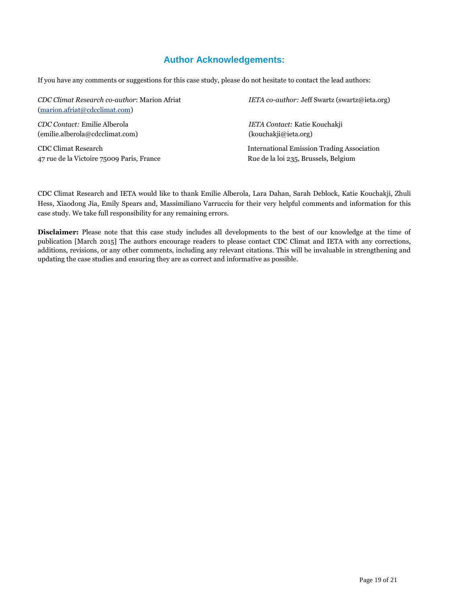#### **Author Acknowledgements:**

If you have any comments or suggestions for this case study, please do not hesitate to contact the lead authors:

| CDC Climat Research co-author: Marion Afriat<br>$(\text{marion.}a\text{friat}\textcircled{a}cd\text{cclimat.com})$ | IETA co-author: Jeff Swartz (swartz@ieta.org)     |
|--------------------------------------------------------------------------------------------------------------------|---------------------------------------------------|
| CDC Contact: Emilie Alberola                                                                                       | IETA Contact: Katie Kouchakji                     |
| (emilie.alberola@cdcclimat.com)                                                                                    | (kouchaki@ieta.org)                               |
| CDC Climat Research                                                                                                | <b>International Emission Trading Association</b> |
| 47 rue de la Victoire 75009 Paris, France                                                                          | Rue de la loi 235, Brussels, Belgium              |

CDC Climat Research and IETA would like to thank Emilie Alberola, Lara Dahan, Sarah Deblock, Katie Kouchakji, Zhuli Hess, Xiaodong Jia, Emily Spears and, Massimiliano Varrucciu for their very helpful comments and information for this case study. We take full responsibility for any remaining errors.

**Disclaimer:** Please note that this case study includes all developments to the best of our knowledge at the time of publication [March 2015] The authors encourage readers to please contact CDC Climat and IETA with any corrections, additions, revisions, or any other comments, including any relevant citations. This will be invaluable in strengthening and updating the case studies and ensuring they are as correct and informative as possible.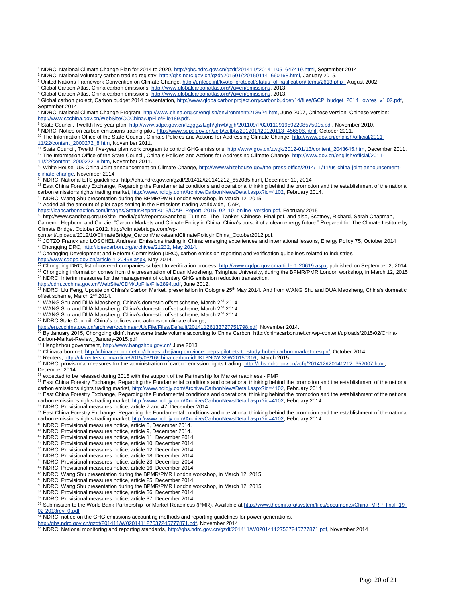<sup>1</sup> NDRC, National Climate Change Plan for 2014 to 2020[, http://qhs.ndrc.gov.cn/gzdt/201411/t20141105\\_647419.html,](http://qhs.ndrc.gov.cn/gzdt/201411/t20141105_647419.html) September 2014

<sup>2</sup> NDRC, National voluntary carbon trading registry[, http://qhs.ndrc.gov.cn/gzdt/201501/t20150114\\_660168.html,](http://qhs.ndrc.gov.cn/gzdt/201501/t20150114_660168.html) January 2015.

<sup>3</sup> United Nations Framework Convention on Climate Change, http://unfccc.int/kyoto\_protocol/status\_of\_ratification/items/2613.php , August 2002

<sup>4</sup> Global Carbon Atlas, China carbon emissions[, http://www.globalcarbonatlas.org/?q=en/emissions,](http://www.globalcarbonatlas.org/?q=en/emissions) 2013.

<sup>5</sup> Global Carbon Atlas, China carbon emissions[, http://www.globalcarbonatlas.org/?q=en/emissions,](http://www.globalcarbonatlas.org/?q=en/emissions) 2013.

<sup>6</sup> Global carbon project, Carbon budget 2014 presentation, http://www.globalcarbonproject.org/carbonbudget/14/files/GCP\_budget\_2014\_lowres\_v1.02.pdf, September 2014.

7 NDRC, National Climate Change Program[, http://www.china.org.cn/english/environment/213624.htm,](http://www.china.org.cn/english/environment/213624.htm) June 2007, Chinese version, Chinese version: [http://www.ccchina.gov.cn/WebSite/CCChina/UpFile/File189.pdf.](http://www.ccchina.gov.cn/WebSite/CCChina/UpFile/File189.pdf)

8 State Council, Twelfth five-year plan, [http://www.sdpc.gov.cn/fzgggz/fzgh/ghwb/gjjh/201109/P020110919592208575015.pdf,](http://www.sdpc.gov.cn/fzgggz/fzgh/ghwb/gjjh/201109/P020110919592208575015.pdf) November 2010,

9 NDRC, Notice on carbon emissions trading pilot[, http://www.sdpc.gov.cn/zcfb/zcfbtz/201201/t20120113\\_456506.html,](http://www.sdpc.gov.cn/zcfb/zcfbtz/201201/t20120113_456506.html) October 2011.

<sup>10</sup> The Information Office of the State Council, China s Policies and Actions for Addressing Climate Change[, http://www.gov.cn/english/official/2011-](http://www.gov.cn/english/official/2011-11/22/content_2000272_8.htm) [11/22/content\\_2000272\\_8.htm,](http://www.gov.cn/english/official/2011-11/22/content_2000272_8.htm) November 2011.

11 State Council, Twelfth five-year plan work program to control GHG emissions, [http://www.gov.cn/zwgk/2012-01/13/content\\_2043645.htm,](http://www.gov.cn/zwgk/2012-01/13/content_2043645.htm) December 2011. <sup>12</sup> The Information Office of the State Council, China s Policies and Actions for Addressing Climate Change[, http://www.gov.cn/english/official/2011-](http://www.gov.cn/english/official/2011-11/22/content_2000272_8.htm)

<u>11/22/content\_2000272\_8.htm</u>, November 2011.<br><sup>13</sup> White House, US-China Joint announcement on Climate Change, <u>http://www.whitehouse.gov/the-press-office/2014/11/11/us-china-joint-announcement-</u> <u>climate-change</u>, November 2014<br><sup>14</sup> NDRC, National ETS guidelines, <u>http://qhs.ndrc.qov.cn/qzdt/201412/t20141212\_652035.html</u>, December 10, 2014

<sup>15</sup> East China Forestry Exchange, Regarding the Fundamental conditions and operational thinking behind the promotion and the establishment of the national carbon emissions rights trading market[, http://www.hdlqjy.com/Archive/CarbonNewsDetail.aspx?id=4102,](http://www.hdlqjy.com/Archive/CarbonNewsDetail.aspx?id=4102) February 2014.

 $6$  NDRC, Wang Shu presentation during the BPMR/PMR London workshop, in March 12, 2015

<sup>17</sup> Added all the amount of pilot caps setting in the Emissions trading worldwide, ICAP,

<u>https://icapcarbonaction.com/images/StatusReport2015/ICAP\_Report\_2015\_02\_10\_online\_version.pdf,</u> February 2015<br><sup>18</sup> [http://www.sandbag.org.uk/site\\_media/pdfs/reports/Sandbag\\_Turning\\_The\\_Tanker\\_Chinese\\_Final.pdf,](http://www.sandbag.org.uk/site_media/pdfs/reports/Sandbag_Turning_The_Tanker_Chinese_Final.pdf) and also, Cameron Hepburn, and Cui Jie. "Carbon Markets and Climate Policy in China: China's pursuit of a clean energy future." Prepared for The Climate Institute by Climate Bridge. October 2012[. http://climatebridge.com/wp-](http://climatebridge.com/wp-content/uploads/2012/10/ClimateBridge_CarbonMarketsandClimatePolicyinChina_October2012.pdf)

[content/uploads/2012/10/ClimateBridge\\_CarbonMarketsandClimatePolicyinChina\\_October2012.pdf.](http://climatebridge.com/wp-content/uploads/2012/10/ClimateBridge_CarbonMarketsandClimatePolicyinChina_October2012.pdf)

<sup>19</sup> JOTZO Franck and LOSCHEL Andreas, Emissions trading in China: emerging experiences and international lessons, Energy Policy 75, October 2014. <sup>20</sup>Chongqing DRC[, http://ideacarbon.org/archives/21232,](http://ideacarbon.org/archives/21232) May 2014.

<sup>21</sup> Chongqing Development and Reform Commission (DRC), carbon emission reporting and verification guidelines related to industries

[http://www.cqdpc.gov.cn/article-1-20498.aspx,](http://www.cqdpc.gov.cn/article-1-20498.aspx) May 2014.<br><sup>22</sup> Chongqing DRC, list of covered companies subject to verification process, <u>http://www.cqdpc.gov.cn/article-1-20619.aspx</u>, published on September 2, 2014.

 $^{23}$  Chongqing information comes from the presentation of Duan Maosheng, Tsinghua University, during the BPMR/PMR London workshop, in March 12, 2015 <sup>24</sup> NDRC, Interim measures for the management of voluntary GHG emission reduction transaction,

[http://cdm.ccchina.gov.cn/WebSite/CDM/UpFile/File2894.pdf,](http://cdm.ccchina.gov.cn/WebSite/CDM/UpFile/File2894.pdf) June 2012.<br><sup>25</sup> NDRC, Liu Feng, Update on China's Carbon Market, presentation in Cologne 25<sup>th</sup> May 2014. And from WANG Shu and DUA Maosheng, China's domestic offset scheme, March 2<sup>nd</sup> 2014.

<sup>26</sup> WANG Shu and DUA Maosheng, China's domestic offset scheme, March 2<sup>nd</sup> 2014.

<sup>27</sup> WANG Shu and DUA Maosheng, China's domestic offset scheme, March 2<sup>nd</sup> 2014.

<sup>28</sup> WANG Shu and DUA Maosheng, China's domestic offset scheme, March 2<sup>nd</sup> 2014

<sup>29</sup> NDRC State Council, China's policies and actions on climate change,

[http://en.ccchina.gov.cn/archiver/ccchinaen/UpFile/Files/Default/20141126133727751798.pdf,](http://en.ccchina.gov.cn/archiver/ccchinaen/UpFile/Files/Default/20141126133727751798.pdf) November 2014.

<sup>30</sup> By January 2015, Chongqing didn't have some trade volume according to China Carbon, http://chinacarbon.net.cn/wp-content/uploads/2015/02/China-Carbon-Market-Review\_January-2015.pdf

31 Hanghzhou government[, http://www.hangzhou.gov.cn/](http://www.hangzhou.gov.cn/) June 2013

<sup>32</sup> Chinacarbon.net, [http://chinacarbon.net.cn/chinas-zhejiang-province-preps-pilot-ets-to-study-hubei-carbon-market-desgin/,](http://chinacarbon.net.cn/chinas-zhejiang-province-preps-pilot-ets-to-study-hubei-carbon-market-desgin/) October 2014

<sup>33</sup> Reuters, [http://uk.reuters.com/article/2015/03/16/china-carbon-idUKL3N0WI39W20150316,](http://uk.reuters.com/article/2015/03/16/china-carbon-idUKL3N0WI39W20150316) March 2015

34 NDRC, provisional measures for the administration of carbon emission rights trading, http://qhs.ndrc.gov.cn/zcfq/201412/t20141212\_652007.html, December 2014.

<sup>35</sup> expected to be released during 2015 with the support of the Partnership for Market readiness - PMR

36 East China Forestry Exchange, Regarding the Fundamental conditions and operational thinking behind the promotion and the establishment of the national carbon emissions rights trading market[, http://www.hdlqjy.com/Archive/CarbonNewsDetail.aspx?id=4102,](http://www.hdlqjy.com/Archive/CarbonNewsDetail.aspx?id=4102) February 2014

<sup>37</sup> East China Forestry Exchange, Regarding the Fundamental conditions and operational thinking behind the promotion and the establishment of the national carbon emissions rights trading market, <u>http://www.hdlqjy.com/Archive/CarbonNewsDetail.aspx?id=4102,</u> February 2014<br><sup>38</sup> NDRC, Provisional measures notice, article 7 and 47, December 2014.

<sup>39</sup> East China Forestry Exchange, Regarding the Fundamental conditions and operational thinking behind the promotion and the establishment of the national carbon emissions rights trading market[, http://www.hdlqjy.com/Archive/CarbonNewsDetail.aspx?id=4102,](http://www.hdlqjy.com/Archive/CarbonNewsDetail.aspx?id=4102) February 2014<br>40 NDPC, Provisional marcures netities http://www.hdlqjy.com/Archive/CarbonNewsDetail.aspx?id=4102, Februar

<sup>0</sup> NDRC, Provisional measures notice, article 8, December 2014.

- <sup>41</sup> NDRC, Provisional measures notice, article 9, December 2014.
- <sup>42</sup> NDRC, Provisional measures notice, article 11, December 2014.
- <sup>43</sup> NDRC, Provisional measures notice, article 10, December 2014.
- <sup>44</sup> NDRC, Provisional measures notice, article 12, December 2014.
- <sup>45</sup> NDRC, Provisional measures notice, article 18, December 2014. <sup>46</sup> NDRC, Provisional measures notice, article 23, December 2014.
- <sup>47</sup> NDRC, Provisional measures notice, article 16, December 2014.
- 
- <sup>48</sup> NDRC, Wang Shu presentation during the BPMR/PMR London workshop, in March 12, 2015
- <sup>49</sup> NDRC, Provisional measures notice, article 25, December 2014.
- <sup>50</sup> NDRC, Wang Shu presentation during the BPMR/PMR London workshop, in March 12, 2015

<sup>51</sup> NDRC, Provisional measures notice, article 36, December 2014.

<sup>52</sup> NDRC, Provisional measures notice, article 37, December 2014.

53 Submission to the World Bank Partnership for Market Readiness (PMR). Available a[t http://www.thepmr.org/system/files/documents/China\\_MRP\\_final\\_19-](http://www.thepmr.org/system/files/documents/China_MRP_final_19-02-2013rev_0.pdf) [02-2013rev\\_0.pdf](http://www.thepmr.org/system/files/documents/China_MRP_final_19-02-2013rev_0.pdf)<br><sup>02-2013rev\_0.pdf</sup>

NDRC, notice on the GHG emissions accounting methods and reporting guidelines for power generations,

[http://qhs.ndrc.gov.cn/gzdt/201411/W020141127537245777871.pdf,](http://qhs.ndrc.gov.cn/gzdt/201411/W020141127537245777871.pdf) November 2014

<sup>55</sup> NDRC, National monitoring and reporting standards[, http://qhs.ndrc.gov.cn/gzdt/201411/W020141127537245777871.pdf,](http://qhs.ndrc.gov.cn/gzdt/201411/W020141127537245777871.pdf) November 2014